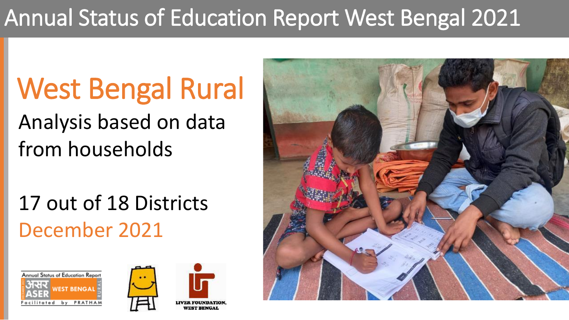## Annual Status of Education Report West Bengal 2021

# West Bengal Rural

Analysis based on data from households

17 out of 18 Districts December 2021





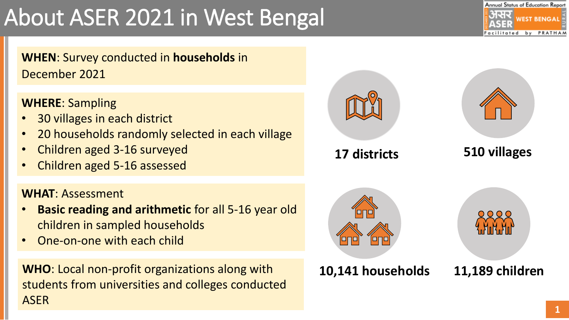## About ASER 2021 in West Bengal



**WHEN**: Survey conducted in **households** in December 2021

**WHERE**: Sampling

- 30 villages in each district
- 20 households randomly selected in each village
- Children aged 3-16 surveyed
- Children aged 5-16 assessed

### **WHAT**: Assessment

- **Basic reading and arithmetic** for all 5-16 year old children in sampled households
- One-on-one with each child

**WHO**: Local non-profit organizations along with students from universities and colleges conducted ASER

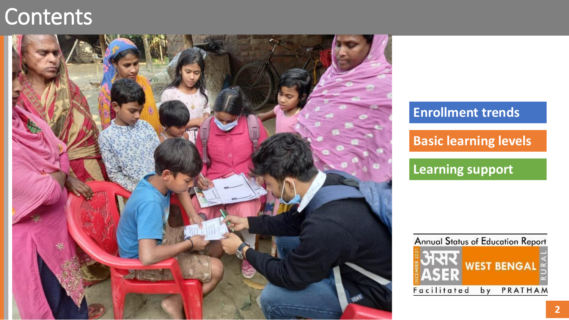### **Contents**



### **Enrollment trends**

**Basic learning levels** 

**Learning support** 

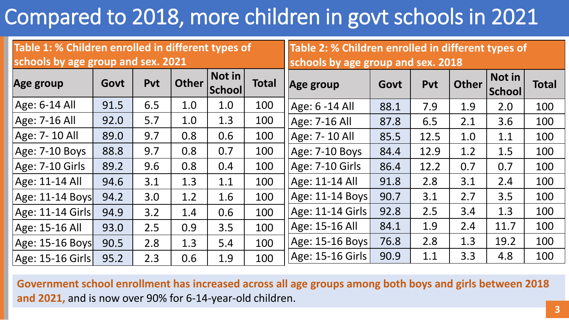## Compared to 2018, more children in govt schools in 2021

| Table 1: % Children enrolled in different types of |      |            |              |                  | Table 2: % Children enrolled in different types of |                    |      |            |              |                         |              |
|----------------------------------------------------|------|------------|--------------|------------------|----------------------------------------------------|--------------------|------|------------|--------------|-------------------------|--------------|
| schools by age group and sex. 2021                 |      |            |              |                  | schools by age group and sex. 2018                 |                    |      |            |              |                         |              |
| Age group                                          | Govt | <b>Pvt</b> | <b>Other</b> | Not in<br>School | <b>Total</b>                                       | Age group          | Govt | <b>Pvt</b> | <b>Other</b> | Not in<br><b>School</b> | <b>Total</b> |
| $Age: 6-14 All$                                    | 91.5 | 6.5        | 1.0          | 1.0              | 100                                                | $ Age: 6 - 14 All$ | 88.1 | 7.9        | 1.9          | 2.0                     | 100          |
| Age: 7-16 All                                      | 92.0 | 5.7        | 1.0          | 1.3              | 100                                                | $Age: 7-16 All$    | 87.8 | 6.5        | 2.1          | 3.6                     | 100          |
| Age: 7-10 All                                      | 89.0 | 9.7        | 0.8          | 0.6              | 100                                                | Age: 7-10 All      | 85.5 | 12.5       | 1.0          | 1.1                     | 100          |
| Age: 7-10 Boys                                     | 88.8 | 9.7        | 0.8          | 0.7              | 100                                                | $Age: 7-10 Boys$   | 84.4 | 12.9       | 1.2          | 1.5                     | 100          |
| Age: 7-10 Girls                                    | 89.2 | 9.6        | 0.8          | 0.4              | 100                                                | Age: 7-10 Girls    | 86.4 | 12.2       | 0.7          | 0.7                     | 100          |
| Age: 11-14 All                                     | 94.6 | 3.1        | 1.3          | 1.1              | 100                                                | $ Age: 11-14$ All  | 91.8 | 2.8        | 3.1          | 2.4                     | 100          |
| $ Age: 11-14$ Boys                                 | 94.2 | 3.0        | 1.2          | 1.6              | 100                                                | $ Age: 11-14$ Boys | 90.7 | 3.1        | 2.7          | 3.5                     | 100          |
| Age: 11-14 Girls                                   | 94.9 | 3.2        | 1.4          | 0.6              | 100                                                | Age: 11-14 Girls   | 92.8 | 2.5        | 3.4          | 1.3                     | 100          |
| Age: 15-16 All                                     | 93.0 | 2.5        | 0.9          | 3.5              | 100                                                | $ Age: 15-16 All$  | 84.1 | 1.9        | 2.4          | 11.7                    | 100          |
| Age: 15-16 Boys                                    | 90.5 | 2.8        | 1.3          | 5.4              | 100                                                | $ Age: 15-16$ Boys | 76.8 | 2.8        | 1.3          | 19.2                    | 100          |
| Age: 15-16 Girls                                   | 95.2 | 2.3        | 0.6          | 1.9              | 100                                                | Age: 15-16 Girls   | 90.9 | 1.1        | 3.3          | 4.8                     | 100          |

**Government school enrollment has increased across all age groups among both boys and girls between 2018 and 2021,** and is now over 90% for 6-14-year-old children.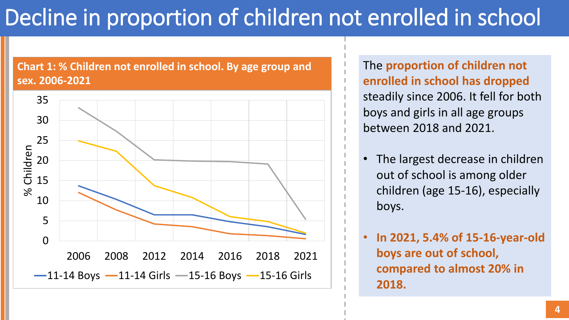## Decline in proportion of children not enrolled in school

### **Chart 1: % Children not enrolled in school. By age group and sex. 2006-2021**



The **proportion of children not enrolled in school has dropped**  steadily since 2006. It fell for both boys and girls in all age groups between 2018 and 2021.

The largest decrease in children out of school is among older children (age 15-16), especially boys.

• **In 2021, 5.4% of 15-16-year-old boys are out of school, compared to almost 20% in 2018.**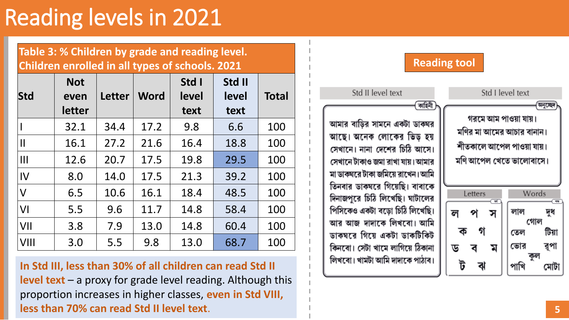### Reading levels in 2021

| Table 3: % Children by grade and reading level.<br>Children enrolled in all types of schools. 2021, |                    |  |               |                |                         |              |
|-----------------------------------------------------------------------------------------------------|--------------------|--|---------------|----------------|-------------------------|--------------|
| <b>Std</b>                                                                                          | <b>Not</b><br>even |  | Letter   Word | Std I<br>level | Std II<br>level<br>tovt | <b>Total</b> |

|                        | letter |      |      | text | text |     |
|------------------------|--------|------|------|------|------|-----|
|                        | 32.1   | 34.4 | 17.2 | 9.8  | 6.6  | 100 |
| $\mathsf{I}\mathsf{I}$ | 16.1   | 27.2 | 21.6 | 16.4 | 18.8 | 100 |
| Ш                      | 12.6   | 20.7 | 17.5 | 19.8 | 29.5 | 100 |
| $\overline{V}$         | 8.0    | 14.0 | 17.5 | 21.3 | 39.2 | 100 |
| V                      | 6.5    | 10.6 | 16.1 | 18.4 | 48.5 | 100 |
| VI                     | 5.5    | 9.6  | 11.7 | 14.8 | 58.4 | 100 |
| VII                    | 3.8    | 7.9  | 13.0 | 14.8 | 60.4 | 100 |
| VIII                   | 3.0    | 5.5  | 9.8  | 13.0 | 68.7 | 100 |

**In Std III, less than 30% of all children can read Std II level text** – a proxy for grade level reading. Although this proportion increases in higher classes, **even in Std VIII, less than 70% can read Std II level text**. **5**

### Std II level text Std I level text কাহিনী অনুচ্ছেদ গরমে আম পাওয়া যায়। আমার বাড়ির সামনে একটা ডাকঘর মণির মা আমের আচার বানান। আছে। অনেক লোকের ভিড় হয় শীতকালে আপেল পাওয়া যায়। সেখানে। নানা দেশের চিঠি আসে। মণি আপেল খেতে ভালোবাসে। সেখানে টাকাও জমা রাখা যায়। আমার মা ডাকঘরে টাকা জমিয়ে রাখেন। আমি তিনবার ডাকঘরে গিয়েছি। বাবাকে Words Letters দিনাজপুরে চিঠি লিখেছি। ঘাটালের পিসিকেও একটা বড়ো চিঠি লিখেছি। লাল দুধ ল প স গোল আর আজ দাদাকে লিখবো। আমি ক গ টিয়া তেল ডাকঘরে গিয়ে একটা ডাকটিকিট রূপা ভোর কিনবো। সেটা খামে লাগিয়ে ঠিকানা ড ব ম কুল লিখবো। খামটা আমি দাদাকে পাঠাব। ট ঝ পাখি মেটা

**Reading tool**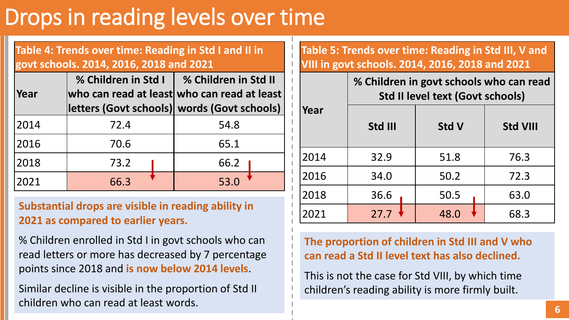### Drops in reading levels over time

**Table 4: Trends over time: Reading in Std I and II in govt schools. 2014, 2016, 2018 and 2021**

| Year | % Children in Std I | % Children in Std II<br>who can read at least who can read at least<br>letters (Govt schools) words (Govt schools) |
|------|---------------------|--------------------------------------------------------------------------------------------------------------------|
| 2014 | 72.4                | 54.8                                                                                                               |
| 2016 | 70.6                | 65.1                                                                                                               |
| 2018 | 73.2                | 66.2                                                                                                               |
| 2021 | 66.3                | 53.0                                                                                                               |

**Substantial drops are visible in reading ability in 2021 as compared to earlier years.**

% Children enrolled in Std I in govt schools who can read letters or more has decreased by 7 percentage points since 2018 and **is now below 2014 levels**.

Similar decline is visible in the proportion of Std II children who can read at least words.

**Table 5: Trends over time: Reading in Std III, V and VIII in govt schools. 2014, 2016, 2018 and 2021**

**% Children in govt schools who can read** 

|      | % Children in govt schools who can read<br><b>Std II level text (Govt schools)</b> |              |                 |  |  |
|------|------------------------------------------------------------------------------------|--------------|-----------------|--|--|
| Year | Std III                                                                            | <b>Std V</b> | <b>Std VIII</b> |  |  |
| 2014 | 32.9                                                                               | 51.8         | 76.3            |  |  |
| 2016 | 34.0                                                                               | 50.2         | 72.3            |  |  |
| 2018 | 36.6                                                                               | 50.5         | 63.0            |  |  |
| 2021 | 27.7                                                                               | 48.0         | 68.3            |  |  |

**The proportion of children in Std III and V who can read a Std II level text has also declined.**

This is not the case for Std VIII, by which time children's reading ability is more firmly built.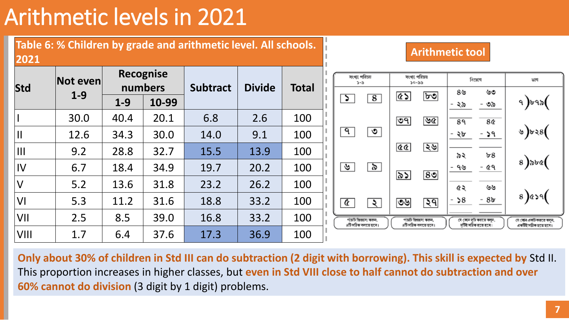## Arithmetic levels in 2021



**Only about 30% of children in Std III can do subtraction (2 digit with borrowing). This skill is expected by** Std II. This proportion increases in higher classes, but **even in Std VIII close to half cannot do subtraction and over 60% cannot do division** (3 digit by 1 digit) problems.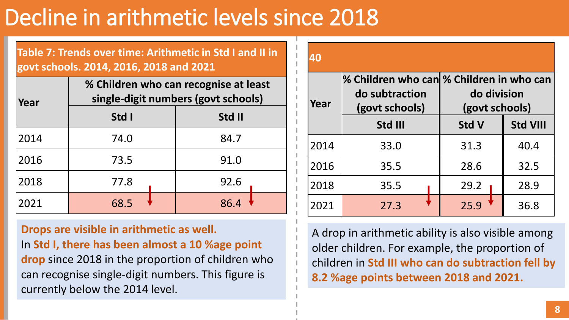## Decline in arithmetic levels since 2018

**Table 7: Trends over time: Arithmetic in Std I and II in govt schools. 2014, 2016, 2018 and 2021**

| Year |       | % Children who can recognise at least<br>single-digit numbers (govt schools) |
|------|-------|------------------------------------------------------------------------------|
|      | Std I | Std II                                                                       |
| 2014 | 74.0  | 84.7                                                                         |
| 2016 | 73.5  | 91.0                                                                         |
| 2018 | 77.8  | 92.6                                                                         |
| 2021 | 68.5  | 86.4                                                                         |

**Drops are visible in arithmetic as well.** In **Std I, there has been almost a 10 %age point drop** since 2018 in the proportion of children who can recognise single-digit numbers. This figure is currently below the 2014 level.

| 40   |                                                                              |                               |                 |
|------|------------------------------------------------------------------------------|-------------------------------|-----------------|
| Year | % Children who can % Children in who can<br>do subtraction<br>(govt schools) | do division<br>(govt schools) |                 |
|      | Std III                                                                      | <b>Std V</b>                  | <b>Std VIII</b> |
| 2014 | 33.0                                                                         | 31.3                          | 40.4            |
| 2016 | 35.5                                                                         | 28.6                          | 32.5            |
| 2018 | 35.5                                                                         | 29.2                          | 28.9            |
| 2021 | 27.3                                                                         | 25.9                          | 36.8            |

A drop in arithmetic ability is also visible among older children. For example, the proportion of children in **Std III who can do subtraction fell by 8.2 %age points between 2018 and 2021.**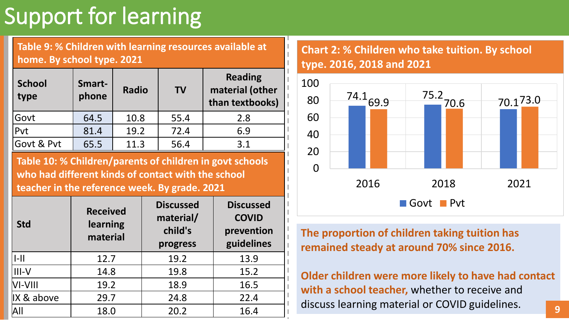## Support for learning

**Table 9: % Children with learning resources available at home. By school type. 2021**

| <b>School</b><br>type | Smart-<br>phone | <b>Radio</b> | <b>TV</b> | <b>Reading</b><br>material (other<br>than textbooks) |
|-----------------------|-----------------|--------------|-----------|------------------------------------------------------|
| Govt                  | 64.5            | 10.8         | 55.4      | 2.8                                                  |
| Pvt                   | 81.4            | 19.2         | 72.4      | 6.9                                                  |
| Govt & Pvt            | 65.5            | 11.3         | 56.4      | 3.1                                                  |

**Table 10: % Children/parents of children in govt schools who had different kinds of contact with the school teacher in the reference week. By grade. 2021**

|                       | <b>Received</b>      | <b>Discussed</b>                 | <b>Discussed</b>                         | Govt Pvt                                                                                   |
|-----------------------|----------------------|----------------------------------|------------------------------------------|--------------------------------------------------------------------------------------------|
| <b>Std</b>            | learning<br>material | material/<br>child's<br>progress | <b>COVID</b><br>prevention<br>guidelines | The proportion of children taking tuition has<br>remained steady at around 70% since 2016. |
| -                     | 12.7                 | 19.2                             | 13.9                                     |                                                                                            |
| III-V                 | 14.8                 | 19.8                             | 15.2                                     | Older children were more likely to have had contact                                        |
| $VI-VIII$             | 19.2                 | 18.9                             | 16.5                                     | with a school teacher, whether to receive and                                              |
| $\parallel$ X & above | 29.7                 | 24.8                             | 22.4                                     | discuss learning material or COVID guidelines.                                             |
| AII                   | 18.0                 | 20.2                             | 16.4                                     | 9                                                                                          |

### **Chart 2: % Children who take tuition. By school type. 2016, 2018 and 2021**

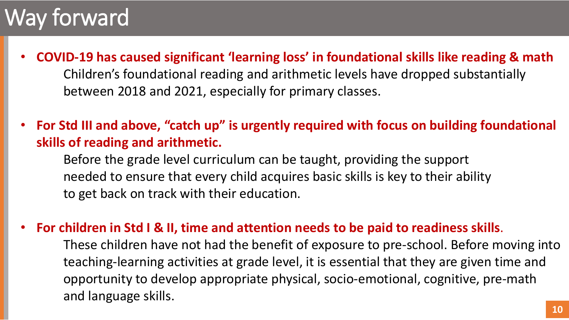### Way forward

- **COVID-19 has caused significant 'learning loss' in foundational skills like reading & math** Children's foundational reading and arithmetic levels have dropped substantially between 2018 and 2021, especially for primary classes.
- **For Std III and above, "catch up" is urgently required with focus on building foundational skills of reading and arithmetic.** 
	- Before the grade level curriculum can be taught, providing the support needed to ensure that every child acquires basic skills is key to their ability to get back on track with their education.

### • **For children in Std I & II, time and attention needs to be paid to readiness skills**.

These children have not had the benefit of exposure to pre-school. Before moving into teaching-learning activities at grade level, it is essential that they are given time and opportunity to develop appropriate physical, socio-emotional, cognitive, pre-math and language skills.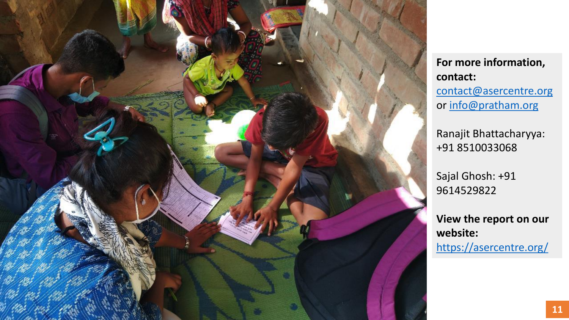

**For more information, contact:** [contact@asercentre.org](mailto:contact@asercentre.org) or [info@pratham.org](mailto:info@pratham.org)

Ranajit Bhattacharyya: +91 8510033068

Sajal Ghosh: +91 9614529822

**View the report on our website:**  <https://asercentre.org/>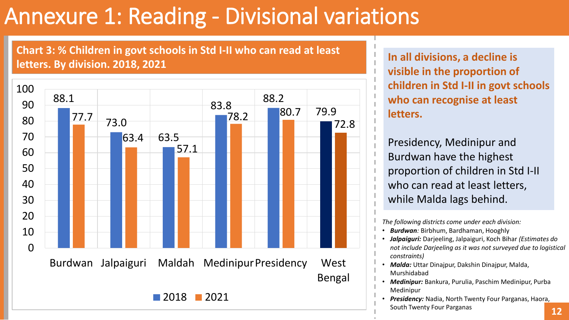## Annexure 1: Reading - Divisional variations

**Chart 3: % Children in govt schools in Std I-II who can read at least letters. By division. 2018, 2021 In all divisions, a decline is** 



**visible in the proportion of children in Std I-II in govt schools who can recognise at least letters.**

Presidency, Medinipur and Burdwan have the highest proportion of children in Std I-II who can read at least letters, while Malda lags behind.

*The following districts come under each division:*

- *Burdwan:* Birbhum, Bardhaman, Hooghly
- *Jalpaiguri:* Darjeeling, Jalpaiguri, Koch Bihar *(Estimates do not include Darjeeling as it was not surveyed due to logistical constraints)*
- *Malda:* Uttar Dinajpur, Dakshin Dinajpur, Malda, Murshidabad
- *Medinipur:* Bankura, Purulia, Paschim Medinipur, Purba Medinipur
- *Presidency:* Nadia, North Twenty Four Parganas, Haora, South Twenty Four Parganas **12**